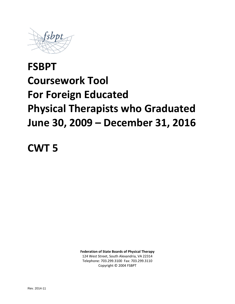

# **FSBPT Coursework Tool For Foreign Educated Physical Therapists who Graduated June 30, 2009 – December 31, 2016**

**CWT 5**

**Federation of State Boards of Physical Therapy** 124 West Street, South Alexandria, VA 22314 Telephone: 703.299.3100 Fax: 703.299.3110 Copyright © 2004 FSBPT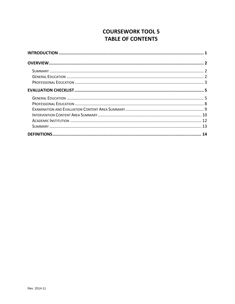# **COURSEWORK TOOL 5 TABLE OF CONTENTS**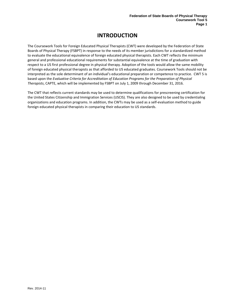# **INTRODUCTION**

<span id="page-2-0"></span>The Coursework Tools for Foreign Educated Physical Therapists (CWT) were developed by the Federation of State Boards of Physical Therapy (FSBPT) in response to the needs of its member jurisdictions for a standardized method to evaluate the educational equivalence of foreign educated physical therapists. Each CWT reflects the minimum general and professional educational requirements for substantial equivalence at the time of graduation with respect to a US first professional degree in physical therapy. Adoption of the tools would allow the same mobility of foreign educated physical therapists as that afforded to US educated graduates. Coursework Tools should not be interpreted as the sole determinant of an individual's educational preparation or competence to practice. CWT 5 is based upon the *Evaluative Criteria for Accreditation of Education Programs for the Preparation of Physical Therapists*, CAPTE, which will be implemented by FSBPT on July 1, 2009 through December 31, 2016.

The CWT that reflects current standards may be used to determine qualifications for prescreening certification for the United States Citizenship and Immigration Services (USCIS). They are also designed to be used by credentialing organizations and education programs. In addition, the CWTs may be used as a self-evaluation method to guide foreign educated physical therapists in comparing their education to US standards.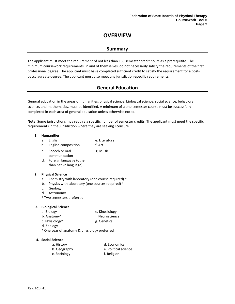# **OVERVIEW**

## **Summary**

<span id="page-3-1"></span><span id="page-3-0"></span>The applicant must meet the requirement of not less than 150 semester credit hours as a prerequisite. The minimum coursework requirements, in and of themselves, do not necessarily satisfy the requirements of the first professional degree. The applicant must have completed sufficient credit to satisfy the requirement for a postbaccalaureate degree. The applicant must also meet any jurisdiction-specific requirements.

## **General Education**

<span id="page-3-2"></span>General education in the areas of humanities, physical science, biological science, social science, behavioral science, and mathematics, must be identified. A minimum of a one-semester course must be successfully completed in each area of general education unless otherwise noted.

**Note**: Some jurisdictions may require a specific number of semester credits. The applicant must meet the specific requirements in the jurisdiction where they are seeking licensure.

#### **1. Humanities**

- a. English e. Literature
- b. English composition f. Art
- c. Speech or oral g. Music
- communication d. Foreign language (other than native language)

#### **2. Physical Science**

- a. Chemistry with laboratory (one course required) \*
- b. Physics with laboratory (one courses required) \*
- c. Geology
- d. Astronomy
- \* Two semesters preferred

#### **3. Biological Science**

- a. Biology e. Kinesiology
- b. Anatomy\* f. Neuroscience
- c. Physiology\* g. Genetics
- d. Zoology
- \* One year of anatomy & physiology preferred

#### **4. Social Science**

- a. History d. Economics b. Geography e. Political science
- c. Sociology f. Religion

Rev. 2014-11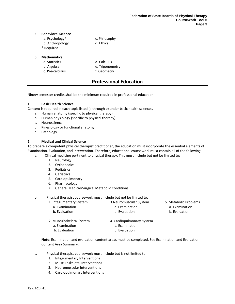#### **5. Behavioral Science**

|    | a. Psychology*     | c. Philosophy   |
|----|--------------------|-----------------|
|    | b. Anthropology    | d. Ethics       |
|    | * Required         |                 |
| 6. | <b>Mathematics</b> |                 |
|    | a. Statistics      | d. Calculus     |
|    | b. Algebra         | e. Trigonometry |
|    | c. Pre-calculus    | f. Geometry     |

## **Professional Education**

<span id="page-4-0"></span>Ninety semester credits shall be the minimum required in professional education.

#### **1. Basic Health Science**

Content is required in each topic listed (a through e) under basic health sciences**.**

- a. Human anatomy (specific to physical therapy)
- b. Human physiology (specific to physical therapy)
- c. Neuroscience
- d. Kinesiology or functional anatomy
- e. Pathology

#### **2. Medical and Clinical Science**

To prepare a competent physical therapist practitioner, the education must incorporate the essential elements of Examination, Evaluation, and Intervention. Therefore, educational coursework must contain all of the following:

- a. Clinical medicine pertinent to physical therapy. This must include but not be limited to:
	- 1. Neurology
	- 2. Orthopedics
	- 3. Pediatrics
	- 4. Geriatrics
	- 5. Cardiopulmonary
	- 6. Pharmacology
	- 7. General Medical/Surgical Metabolic Conditions
- b. Physical therapist coursework must include but not be limited to:

| 1. Integumentary System   | 3. Neuromuscular System   | 5. Metabolic Problems |
|---------------------------|---------------------------|-----------------------|
| a. Examination            | a. Examination            | a. Examination        |
| b. Evaluation             | b. Evaluation             | b. Evaluation         |
| 2. Musculoskeletal System | 4. Cardiopulmonary System |                       |
| a. Examination            | a. Examination            |                       |
| b. Evaluation             | b. Evaluation             |                       |

**Note**: Examination and evaluation content areas must be completed. See Examination and Evaluation Content Area Summary.

- c. Physical therapist coursework must include but is not limited to:
	- 1. Integumentary Interventions
	- 2. Musculoskeletal Interventions
	- 3. Neuromuscular Interventions
	- 4. Cardiopulmonary Interventions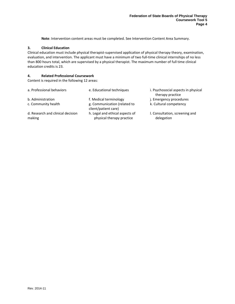**Note**: Intervention content areas must be completed. See Intervention Content Area Summary.

#### **3. Clinical Education**

Clinical education must include physical therapist-supervised application of physical therapy theory, examination, evaluation, and intervention. The applicant must have a minimum of two full-time clinical internships of no less than 800 hours total, which are supervised by a physical therapist. The maximum number of full time clinical education credits is 23.

#### **4. Related Professional Coursework**

Content is required in the following 12 areas:

| a. Professional behaviors                   | e. Educational techniques                                    | i. Psychosocial aspects in physical<br>therapy practice |
|---------------------------------------------|--------------------------------------------------------------|---------------------------------------------------------|
| b. Administration                           | f. Medical terminology                                       | j. Emergency procedures                                 |
| c. Community health                         | g. Communication (related to<br>client/patient care)         | k. Cultural competency                                  |
| d. Research and clinical decision<br>making | h. Legal and ethical aspects of<br>physical therapy practice | I. Consultation, screening and<br>delegation            |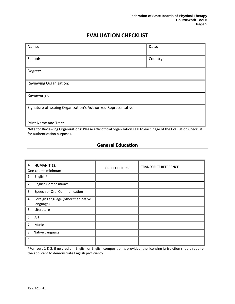# **EVALUATION CHECKLIST**

<span id="page-6-0"></span>

| Name:                                                                                                              | Date:    |
|--------------------------------------------------------------------------------------------------------------------|----------|
|                                                                                                                    |          |
| School:                                                                                                            | Country: |
|                                                                                                                    |          |
| Degree:                                                                                                            |          |
|                                                                                                                    |          |
| Reviewing Organization:                                                                                            |          |
|                                                                                                                    |          |
| Reviewer(s):                                                                                                       |          |
|                                                                                                                    |          |
| Signature of Issuing Organization's Authorized Representative:                                                     |          |
|                                                                                                                    |          |
|                                                                                                                    |          |
| Print Name and Title:                                                                                              |          |
| Note for Reviewing Organizations: Please affix official organization seal to each page of the Evaluation Checklist |          |

<span id="page-6-1"></span>**Note for Reviewing Organizations**: Please affix official organization seal to each page of the Evaluation Checklist for authentication purposes.

## **General Education**

| А.<br><b>HUMANITIES:</b><br>One course minimum         | <b>CREDIT HOURS</b> | <b>TRANSCRIPT REFERENCE</b> |
|--------------------------------------------------------|---------------------|-----------------------------|
| English*<br>1.                                         |                     |                             |
| 2.<br>English Composition*                             |                     |                             |
| Speech or Oral Communication<br>3.                     |                     |                             |
| Foreign Language (other than native<br>4.<br>language) |                     |                             |
| 5.<br>Literature                                       |                     |                             |
| 6.<br>Art                                              |                     |                             |
| 7.<br>Music                                            |                     |                             |
| 8.<br>Native Language                                  |                     |                             |
| 9.                                                     |                     |                             |

\*For rows 1 & 2, if no credit in English or English composition is provided, the licensing jurisdiction should require the applicant to demonstrate English proficiency.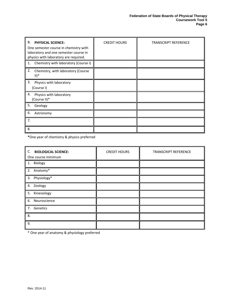| В.<br><b>PHYSICAL SCIENCE:</b><br>One semester course in chemistry with<br>laboratory and one semester course in<br>physics with laboratory are required. | <b>CREDIT HOURS</b> | <b>TRANSCRIPT REFERENCE</b> |
|-----------------------------------------------------------------------------------------------------------------------------------------------------------|---------------------|-----------------------------|
| Chemistry with laboratory (Course I)<br>1.                                                                                                                |                     |                             |
| 2.<br>Chemistry, with laboratory (Course<br>$   $ <sup>*</sup>                                                                                            |                     |                             |
| 3.<br>Physics with laboratory<br>(Course I)                                                                                                               |                     |                             |
| 4.<br>Physics with laboratory<br>(Course II)*                                                                                                             |                     |                             |
| 5.<br>Geology                                                                                                                                             |                     |                             |
| 6.<br>Astronomy                                                                                                                                           |                     |                             |
| 7.                                                                                                                                                        |                     |                             |
| 8.                                                                                                                                                        |                     |                             |

**\***One year of chemistry & physics preferred

| C. BIOLOGICAL SCIENCE:<br>One course minimum | <b>CREDIT HOURS</b> | <b>TRANSCRIPT REFERENCE</b> |
|----------------------------------------------|---------------------|-----------------------------|
| 1. Biology                                   |                     |                             |
| 2. Anatomy*                                  |                     |                             |
| 3. Physiology*                               |                     |                             |
| 4. Zoology                                   |                     |                             |
| 5. Kinesiology                               |                     |                             |
| 6. Neuroscience                              |                     |                             |
| 7. Genetics                                  |                     |                             |
| 8.                                           |                     |                             |
| 9.                                           |                     |                             |

\* One year of anatomy & physiology preferred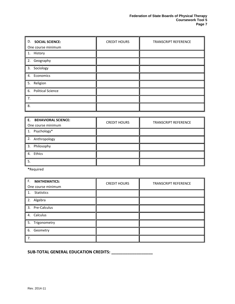| <b>D. SOCIAL SCIENCE:</b> | <b>CREDIT HOURS</b> | TRANSCRIPT REFERENCE |
|---------------------------|---------------------|----------------------|
| One course minimum        |                     |                      |
| 1. History                |                     |                      |
| 2. Geography              |                     |                      |
| 3. Sociology              |                     |                      |
| 4. Economics              |                     |                      |
| 5. Religion               |                     |                      |
| 6. Political Science      |                     |                      |
| 7.                        |                     |                      |
| 8.                        |                     |                      |

| E. BEHAVIORAL SCIENCE:<br>One course minimum | <b>CREDIT HOURS</b> | <b>TRANSCRIPT REFERENCE</b> |
|----------------------------------------------|---------------------|-----------------------------|
| 1. Psychology*                               |                     |                             |
| 2. Anthropology                              |                     |                             |
| 3. Philosophy                                |                     |                             |
| 4. Ethics                                    |                     |                             |
| 5.                                           |                     |                             |

**\***Required

| F.<br><b>MATHEMATICS:</b><br>One course minimum | <b>CREDIT HOURS</b> | <b>TRANSCRIPT REFERENCE</b> |
|-------------------------------------------------|---------------------|-----------------------------|
| 1. Statistics                                   |                     |                             |
| 2. Algebra                                      |                     |                             |
| 3. Pre-Calculus                                 |                     |                             |
| 4. Calculus                                     |                     |                             |
| 5. Trigonometry                                 |                     |                             |
| 6. Geometry                                     |                     |                             |
| 7.                                              |                     |                             |

**SUB-TOTAL GENERAL EDUCATION CREDITS: \_\_\_\_\_\_\_\_\_\_\_\_\_\_\_\_\_\_**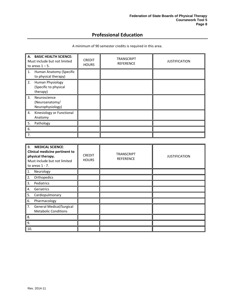## **Professional Education**

<span id="page-9-0"></span>

| A. BASIC HEALTH SCIENCE:<br>Must include but not limited<br>to areas $1 - 5$ . | <b>CREDIT</b><br><b>HOURS</b> | <b>TRANSCRIPT</b><br><b>REFERENCE</b> | <b>JUSTIFICATION</b> |
|--------------------------------------------------------------------------------|-------------------------------|---------------------------------------|----------------------|
| Human Anatomy (Specific<br>1.<br>to physical therapy)                          |                               |                                       |                      |
| 2.<br>Human Physiology<br>(Specific to physical<br>therapy)                    |                               |                                       |                      |
| 3 <sub>1</sub><br>Neuroscience<br>(Neuroanatomy/<br>Neurophysiology)           |                               |                                       |                      |
| Kinesiology or Functional<br>4.<br>Anatomy                                     |                               |                                       |                      |
| 5.<br>Pathology                                                                |                               |                                       |                      |
| 6.                                                                             |                               |                                       |                      |
| 7.                                                                             |                               |                                       |                      |

A minimum of 90 semester credits is required in this area.

| <b>B.</b><br><b>MEDICAL SCIENCE:</b><br>Clinical medicine pertinent to<br>physical therapy.<br>Must include but not limited<br>to areas $1 - 7$ . | <b>CREDIT</b><br><b>HOURS</b> | <b>TRANSCRIPT</b><br><b>REFERENCE</b> | <b>JUSTIFICATION</b> |
|---------------------------------------------------------------------------------------------------------------------------------------------------|-------------------------------|---------------------------------------|----------------------|
| Neurology<br>1.                                                                                                                                   |                               |                                       |                      |
| 2.<br>Orthopedics                                                                                                                                 |                               |                                       |                      |
| 3.<br>Pediatrics                                                                                                                                  |                               |                                       |                      |
| 4.<br>Geriatrics                                                                                                                                  |                               |                                       |                      |
| Cardiopulmonary<br>5.                                                                                                                             |                               |                                       |                      |
| 6.<br>Pharmacology                                                                                                                                |                               |                                       |                      |
| 7.<br><b>General Medical/Surgical</b><br><b>Metabolic Conditions</b>                                                                              |                               |                                       |                      |
| 8.                                                                                                                                                |                               |                                       |                      |
| 9.                                                                                                                                                |                               |                                       |                      |
| 10.                                                                                                                                               |                               |                                       |                      |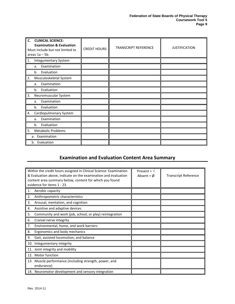| $C_{\cdot}$<br><b>CLINICAL SCIENCE:</b><br><b>Examination &amp; Evaluation</b><br>Must include but not limited to<br>areas $1a - 5b$ . | <b>CREDIT HOURS</b> | <b>TRANSCRIPT REFERENCE</b> | <b>JUSTIFICATION</b> |
|----------------------------------------------------------------------------------------------------------------------------------------|---------------------|-----------------------------|----------------------|
| <b>Integumentary System</b><br>1.                                                                                                      |                     |                             |                      |
| Examination<br>a.                                                                                                                      |                     |                             |                      |
| Evaluation<br>b.                                                                                                                       |                     |                             |                      |
| 2.<br>Musculoskeletal System                                                                                                           |                     |                             |                      |
| Examination<br>a.                                                                                                                      |                     |                             |                      |
| Evaluation<br>b.                                                                                                                       |                     |                             |                      |
| 3.<br>Neuromuscular System                                                                                                             |                     |                             |                      |
| Examination<br>a.                                                                                                                      |                     |                             |                      |
| Evaluation<br>b.                                                                                                                       |                     |                             |                      |
| Cardiopulmonary System<br>4.                                                                                                           |                     |                             |                      |
| Examination<br>a.                                                                                                                      |                     |                             |                      |
| Evaluation<br>b.                                                                                                                       |                     |                             |                      |
| 5.<br><b>Metabolic Problems</b>                                                                                                        |                     |                             |                      |
| a. Examination                                                                                                                         |                     |                             |                      |
| b. Evaluation                                                                                                                          |                     |                             |                      |

# **Examination and Evaluation Content Area Summary**

<span id="page-10-0"></span>

| Within the credit hours assigned in Clinical Science: Examination<br>& Evaluation above, indicate on the examination and evaluation<br>content area summary below, content for which you found<br>evidence for items 1 - 23. | Present = $\sqrt{ }$<br>Absent = $\phi$ | <b>Transcript Reference</b> |
|------------------------------------------------------------------------------------------------------------------------------------------------------------------------------------------------------------------------------|-----------------------------------------|-----------------------------|
| Aerobic capacity<br>1.                                                                                                                                                                                                       |                                         |                             |
| 2.<br>Anthropometric characteristics                                                                                                                                                                                         |                                         |                             |
| 3.<br>Arousal, mentation, and cognition                                                                                                                                                                                      |                                         |                             |
| Assistive and adaptive devices<br>4.                                                                                                                                                                                         |                                         |                             |
| 5.<br>Community and work (job, school, or play) reintegration                                                                                                                                                                |                                         |                             |
| 6.<br>Cranial nerve integrity                                                                                                                                                                                                |                                         |                             |
| 7.<br>Environmental, home, and work barriers                                                                                                                                                                                 |                                         |                             |
| 8.<br>Ergonomics and body mechanics                                                                                                                                                                                          |                                         |                             |
| Gait, assisted locomotion, and balance<br>9.                                                                                                                                                                                 |                                         |                             |
| 10. Integumentary integrity                                                                                                                                                                                                  |                                         |                             |
| 11. Joint integrity and mobility                                                                                                                                                                                             |                                         |                             |
| 12. Motor function                                                                                                                                                                                                           |                                         |                             |
| 13. Muscle performance (including strength, power, and<br>endurance)                                                                                                                                                         |                                         |                             |
| 14. Neuromotor development and sensory integration                                                                                                                                                                           |                                         |                             |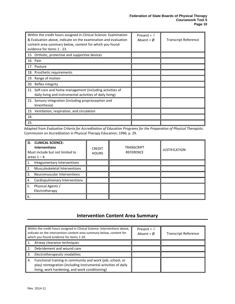| Within the credit hours assigned in Clinical Science: Examination<br>& Evaluation above, indicate on the examination and evaluation<br>content area summary below, content for which you found<br>evidence for items 1 - 23. | Present = $\sqrt{ }$<br>Absent = $\emptyset$ | <b>Transcript Reference</b> |
|------------------------------------------------------------------------------------------------------------------------------------------------------------------------------------------------------------------------------|----------------------------------------------|-----------------------------|
| 15. Orthotic, protective and supportive devices                                                                                                                                                                              |                                              |                             |
| 16. Pain                                                                                                                                                                                                                     |                                              |                             |
| 17. Posture                                                                                                                                                                                                                  |                                              |                             |
| 18. Prosthetic requirements                                                                                                                                                                                                  |                                              |                             |
| 19. Range of motion                                                                                                                                                                                                          |                                              |                             |
| 20. Reflex integrity                                                                                                                                                                                                         |                                              |                             |
| 21. Self-care and home management (including activities of<br>daily living and instrumental activities of daily living)                                                                                                      |                                              |                             |
| 22. Sensory integration (including proprioception and<br>kinesthesia)                                                                                                                                                        |                                              |                             |
| 23. Ventilation, respiration, and circulation                                                                                                                                                                                |                                              |                             |
| 24.                                                                                                                                                                                                                          |                                              |                             |
| 25.                                                                                                                                                                                                                          |                                              |                             |

Adapted from *Evaluative Criteria for Accreditation of Education Programs for the Preparation of Physical Therapists*. Commission on Accreditation in Physical Therapy Education; 1996; p. 29.

| <b>D. CLINICAL SCIENCE:</b><br><b>Interventions</b><br>Must include but not limited to<br>areas $1 - 4$ . | <b>CREDIT</b><br><b>HOURS</b> | <b>TRANSCRIPT</b><br><b>REFERENCE</b> | <b>JUSTIFICATION</b> |
|-----------------------------------------------------------------------------------------------------------|-------------------------------|---------------------------------------|----------------------|
| Integumentary Interventions<br>1.                                                                         |                               |                                       |                      |
| Musculoskeletal Interventions<br>2.                                                                       |                               |                                       |                      |
| 3.<br>Neuromuscular Interventions                                                                         |                               |                                       |                      |
| Cardiopulmonary Interventions<br>4.                                                                       |                               |                                       |                      |
| Physical Agents /<br>5.<br>Electrotherapy                                                                 |                               |                                       |                      |
| 6.                                                                                                        |                               |                                       |                      |

## **Intervention Content Area Summary**

<span id="page-11-0"></span>

|                                     | Within the credit hours assigned in Clinical Science: Interventions above,<br>indicate on the intervention content area summary below, content for<br>which you found evidence for items 1-10. | Present = $\sqrt{ }$<br>Absent = $\phi$ | <b>Transcript Reference</b> |
|-------------------------------------|------------------------------------------------------------------------------------------------------------------------------------------------------------------------------------------------|-----------------------------------------|-----------------------------|
|                                     | Airway clearance techniques                                                                                                                                                                    |                                         |                             |
| 2.                                  | Debridement and wound care                                                                                                                                                                     |                                         |                             |
| Electrotherapeutic modalities<br>3. |                                                                                                                                                                                                |                                         |                             |
| 4.                                  | Functional training in community and work (job, school, or<br>play) reintegration (including instrumental activities of daily<br>living, work hardening, and work conditioning)                |                                         |                             |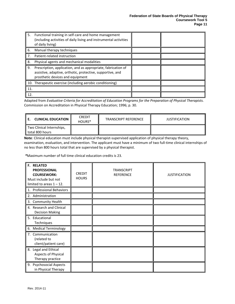| 5.  | Functional training in self-care and home management<br>(including activities of daily living and instrumental activities<br>of daily living)                   |  |
|-----|-----------------------------------------------------------------------------------------------------------------------------------------------------------------|--|
| 6.  | Manual therapy techniques                                                                                                                                       |  |
| 7.  | Patient-related instruction                                                                                                                                     |  |
| 8.  | Physical agents and mechanical modalities                                                                                                                       |  |
| 9.  | Prescription, application, and as appropriate, fabrication of<br>assistive, adaptive, orthotic, protective, supportive, and<br>prosthetic devices and equipment |  |
|     | 10. Therapeutic exercise (including aerobic conditioning)                                                                                                       |  |
| 11. |                                                                                                                                                                 |  |
| 12. |                                                                                                                                                                 |  |

Adapted from *Evaluative Criteria for Accreditation of Education Programs for the Preparation of Physical Therapists.* Commission on Accreditation in Physical Therapy Education; 1996; p. 30.

| <b>CLINICAL EDUCATION</b>                      | <b>CREDIT</b><br>HOURS <sup>*</sup> | <b>TRANSCRIPT REFERENCE</b> | <b>JUSTIFICATION</b> |
|------------------------------------------------|-------------------------------------|-----------------------------|----------------------|
| Two Clinical Internships,<br>l total 800 hours |                                     |                             |                      |

**Note**: Clinical education must include physical therapist-supervised application of physical therapy theory, examination, evaluation, and intervention. The applicant must have a minimum of two full-time clinical internships of no less than 800 hours total that are supervised by a physical therapist.

*\**Maximum number of full time clinical education credits is 23.

| <b>F. RELATED</b><br><b>PROFESSIONAL</b><br><b>COURSEWORK:</b><br>Must include but not<br>limited to areas $1 - 12$ . | <b>CREDIT</b><br><b>HOURS</b> | <b>TRANSCRIPT</b><br><b>REFERENCE</b> | <b>JUSTIFICATION</b> |
|-----------------------------------------------------------------------------------------------------------------------|-------------------------------|---------------------------------------|----------------------|
| 1. Professional Behaviors                                                                                             |                               |                                       |                      |
| 2. Administration                                                                                                     |                               |                                       |                      |
| 3. Community Health                                                                                                   |                               |                                       |                      |
| 4. Research and Clinical<br><b>Decision Making</b>                                                                    |                               |                                       |                      |
| 5. Educational<br>Techniques                                                                                          |                               |                                       |                      |
| 6. Medical Terminology                                                                                                |                               |                                       |                      |
| 7. Communication<br>(related to<br>client/patient care)                                                               |                               |                                       |                      |
| 8. Legal and Ethical<br>Aspects of Physical<br>Therapy practice                                                       |                               |                                       |                      |
| 9. Psychosocial Aspects<br>in Physical Therapy                                                                        |                               |                                       |                      |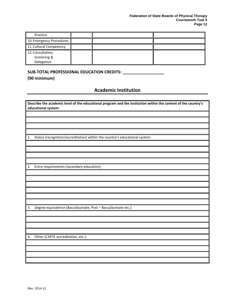| Practice                                       |  |  |
|------------------------------------------------|--|--|
| 10. Emergency Procedures                       |  |  |
| 11. Cultural Competency                        |  |  |
| 12. Consultation,<br>Screening &<br>Delegation |  |  |

### **SUB-TOTAL PROFESSIONAL EDUCATION CREDITS: \_\_\_\_\_\_\_\_\_\_\_\_\_\_\_\_\_\_**

<span id="page-13-0"></span>**(90 minimum)**

## **Academic Institution**

|    | Describe the academic level of the educational program and the institution within the context of the country's<br>educational system: |
|----|---------------------------------------------------------------------------------------------------------------------------------------|
|    |                                                                                                                                       |
|    |                                                                                                                                       |
|    |                                                                                                                                       |
|    |                                                                                                                                       |
| 1. | Status (recognition/accreditation) within the country's educational system:                                                           |
|    |                                                                                                                                       |
|    |                                                                                                                                       |
|    |                                                                                                                                       |
|    |                                                                                                                                       |
| 2. | Entry requirements (secondary education):                                                                                             |
|    |                                                                                                                                       |
|    |                                                                                                                                       |
|    |                                                                                                                                       |
|    |                                                                                                                                       |
|    |                                                                                                                                       |
| 3. | Degree equivalence (Baccalaureate, Post - Baccalaureate etc.):                                                                        |
|    |                                                                                                                                       |
|    |                                                                                                                                       |
|    |                                                                                                                                       |
|    |                                                                                                                                       |
| 4. | Other (CAPTE accreditation, etc.):                                                                                                    |
|    |                                                                                                                                       |
|    |                                                                                                                                       |
|    |                                                                                                                                       |
|    |                                                                                                                                       |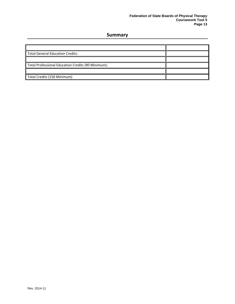## **Summary**

<span id="page-14-0"></span>

| <b>Total General Education Credits:</b>            |  |
|----------------------------------------------------|--|
|                                                    |  |
| Total Professional Education Credits (90 Minimum): |  |
|                                                    |  |
| Total Credits (150 Minimum)                        |  |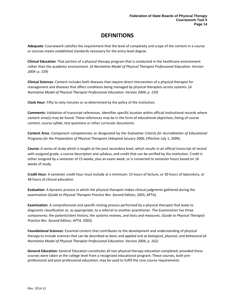# **DEFINITIONS**

<span id="page-15-0"></span>**Adequate**: Coursework satisfies the requirement that the level of complexity and scope of the content in a course or courses meets established standards necessary for the entry-level degree.

**Clinical Education**: That portion of a physical therapy program that is conducted in the healthcare environment rather than the academic environment. (*A Normative Model of Physical Therapist Professional Education: Version 2004: p. 159)* 

**Clinical Sciences**: Content includes both diseases that require direct intervention of a physical therapist for management and diseases that affect conditions being managed by physical therapists across systems. (*A Normative Model of Physical Therapist Professional Education: Version 2004; p. 159)*

**Clock Hour**: Fifty to sixty minutes or as determined by the policy of the institution.

**Comments:** Validation of transcript references. Identifies specific location within official institutional records where content area(s) may be found. These references may be in the form of educational objectives, listing of course content, course syllabi, test questions or other curricular documents.

**Content Area**: Component competencies as designated by the *Evaluative Criteria for Accreditation of Educational Programs for the Preparation of Physical Therapists* (Adopted January 2006; Effective July 1, 2009).

**Course:** A series of study which is taught at the post secondary level, which results in an official transcript of record with assigned grade, a course description and syllabus, and credit that can be verified by the institution. Credit is either assigned by a semester of 15 weeks, plus an exam week, or is converted to semester hours based on 16 weeks of study.

**Credit Hour**: A semester credit hour must include at a minimum: 15 hours of lecture, or 30 hours of laboratory, or 48 hours of clinical education.

**Evaluation**: A dynamic process in which the physical therapist makes clinical judgments gathered during the examination (*Guide to Physical Therapist Practice Rev. Second Edition*, 2003, APTA).

**Examination**: A comprehensive and specific testing process performed by a physical therapist that leads to diagnostic classification or, as appropriate, to a referral to another practitioner. The Examination has three components: the patient/client history, the systems reviews, and tests and measures. (*Guide to Physical Therapist Practice Rev. Second Edition, APTA,* 2003).

**Foundational Sciences**: Essential content that contributes to the development and understanding of physical therapy to include sciences that can be described as *basic* and *applied* and as *biological*, *physical*, and *behavioral*.(*A Normative Model of Physical Therapist Professional Education: Version 2004, p. 162)*

**General Education:** General Education constitutes all non-physical therapy education completed, provided these courses were taken at the college level from a recognized educational program. These courses, both preprofessional and post-professional education, may be used to fulfill the core course requirements